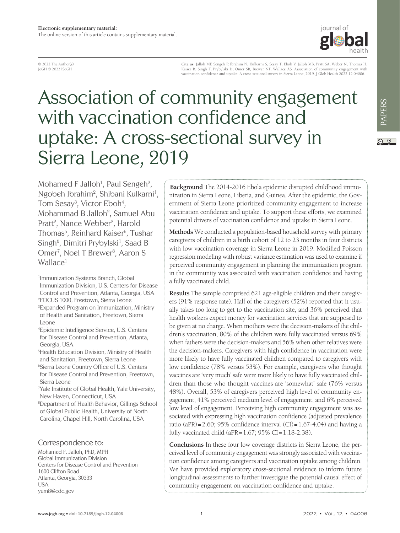

© 2022 The Author(s) JoGH © 2022 ISoGH

**Cite as:** Jalloh MF, Sengeh P, Ibrahim N, Kulkarni S, Sesay T, Eboh V, Jalloh MB, Pratt SA, Weber N, Thomas H, Kaiser R, Singh T, Prybylski D, Omer SB, Brewer NT, Wallace AS. Association of community engagement with vaccination confidence and uptake: A cross-sectional survey in Sierra Leone, 2019. J Glob Health 2022;12:04006.

# Association of community engagement with vaccination confidence and uptake: A cross-sectional survey in Sierra Leone, 2019

Mohamed F Jalloh<sup>1</sup>, Paul Sengeh<sup>2</sup>, Ngobeh Ibrahim<sup>2</sup>, Shibani Kulkarni<sup>1</sup>, Tom Sesay<sup>3</sup>, Victor Eboh<sup>4</sup>, Mohammad B Jalloh<sup>2</sup>, Samuel Abu Pratt<sup>2</sup>, Nance Webber<sup>2</sup>, Harold Thomas<sup>5</sup>, Reinhard Kaiser<sup>6</sup>, Tushar Singh<sup>6</sup>, Dimitri Prybylski<sup>1</sup>, Saad B Omer<sup>7</sup>, Noel T Brewer<sup>8</sup>, Aaron S Wallace<sup>1</sup>

- 1 Immunization Systems Branch, Global Immunization Division, U.S. Centers for Disease Control and Prevention, Atlanta, Georgia, USA 2 FOCUS 1000, Freetown, Sierra Leone 3 Expanded Program on Immunization, Ministry of Health and Sanitation, Freetown, Sierra Leone
- 4 Epidemic Intelligence Service, U.S. Centers for Disease Control and Prevention, Atlanta, Georgia, USA

5 Health Education Division, Ministry of Health and Sanitation, Freetown, Sierra Leone 6 Sierra Leone Country Office of U.S. Centers for Disease Control and Prevention, Freetown, Sierra Leone

7 Yale Institute of Global Health, Yale University, New Haven, Connecticut, USA

8 Department of Health Behavior, Gillings School of Global Public Health, University of North Carolina, Chapel Hill, North Carolina, USA

#### Correspondence to:

Mohamed F. Jalloh, PhD, MPH Global Immunization Division Centers for Disease Control and Prevention 1600 Clifton Road Atlanta, Georgia, 30333 USA yum8@cdc.gov

**Background** The 2014-2016 Ebola epidemic disrupted childhood immunization in Sierra Leone, Liberia, and Guinea. After the epidemic, the Government of Sierra Leone prioritized community engagement to increase vaccination confidence and uptake. To support these efforts, we examined potential drivers of vaccination confidence and uptake in Sierra Leone.

**Methods** We conducted a population-based household survey with primary caregivers of children in a birth cohort of 12 to 23 months in four districts with low vaccination coverage in Sierra Leone in 2019. Modified Poisson regression modeling with robust variance estimation was used to examine if perceived community engagement in planning the immunization program in the community was associated with vaccination confidence and having a fully vaccinated child.

**Results** The sample comprised 621 age-eligible children and their caregivers (91% response rate). Half of the caregivers (52%) reported that it usually takes too long to get to the vaccination site, and 36% perceived that health workers expect money for vaccination services that are supposed to be given at no charge. When mothers were the decision-makers of the children's vaccination, 80% of the children were fully vaccinated versus 69% when fathers were the decision-makers and 56% when other relatives were the decision-makers. Caregivers with high confidence in vaccination were more likely to have fully vaccinated children compared to caregivers with low confidence (78% versus 53%). For example, caregivers who thought vaccines are 'very much' safe were more likely to have fully vaccinated children than those who thought vaccines are 'somewhat' safe (76% versus 48%). Overall, 53% of caregivers perceived high level of community engagement, 41% perceived medium level of engagement, and 6% perceived low level of engagement. Perceiving high community engagement was associated with expressing high vaccination confidence (adjusted prevalence ratio (aPR)=2.60; 95% confidence interval (CI)=1.67-4.04) and having a fully vaccinated child (aPR= $1.67$ ; 95% CI= $1.18-2.38$ ).

**Conclusions** In these four low coverage districts in Sierra Leone, the perceived level of community engagement was strongly associated with vaccination confidence among caregivers and vaccination uptake among children. We have provided exploratory cross-sectional evidence to inform future longitudinal assessments to further investigate the potential causal effect of community engagement on vaccination confidence and uptake.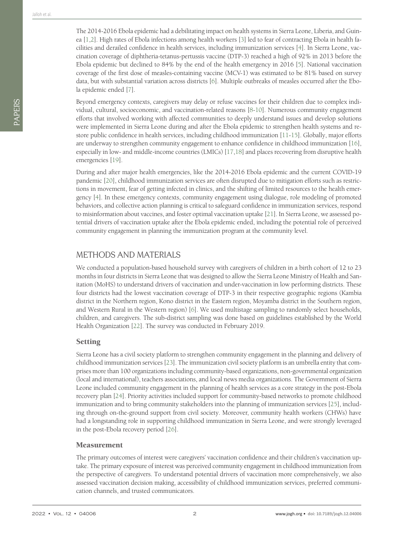The 2014-2016 Ebola epidemic had a debilitating impact on health systems in Sierra Leone, Liberia, and Guinea [\[1](#page-11-0)[,2](#page-11-1)]. High rates of Ebola infections among health workers [\[3\]](#page-11-2) led to fear of contracting Ebola in health facilities and derailed confidence in health services, including immunization services [\[4](#page-11-3)]. In Sierra Leone, vaccination coverage of diphtheria-tetanus-pertussis vaccine (DTP-3) reached a high of 92% in 2013 before the Ebola epidemic but declined to 84% by the end of the health emergency in 2016 [[5\]](#page-11-4). National vaccination coverage of the first dose of measles-containing vaccine (MCV-1) was estimated to be 81% based on survey data, but with substantial variation across districts [\[6](#page-11-5)]. Multiple outbreaks of measles occurred after the Ebola epidemic ended [[7\]](#page-11-6).

Beyond emergency contexts, caregivers may delay or refuse vaccines for their children due to complex individual, cultural, socioeconomic, and vaccination-related reasons [[8](#page-11-7)[-10](#page-11-8)]. Numerous community engagement efforts that involved working with affected communities to deeply understand issues and develop solutions were implemented in Sierra Leone during and after the Ebola epidemic to strengthen health systems and restore public confidence in health services, including childhood immunization [\[11](#page-11-9)[-15\]](#page-12-0). Globally, major efforts are underway to strengthen community engagement to enhance confidence in childhood immunization [[16\]](#page-12-1), especially in low- and middle-income countries (LMICs) [[17](#page-12-2)[,18](#page-12-3)] and places recovering from disruptive health emergencies [[19](#page-12-4)].

During and after major health emergencies, like the 2014-2016 Ebola epidemic and the current COVID-19 pandemic [[20\]](#page-12-5), childhood immunization services are often disrupted due to mitigation efforts such as restrictions in movement, fear of getting infected in clinics, and the shifting of limited resources to the health emergency [\[4](#page-11-3)]. In these emergency contexts, community engagement using dialogue, role modeling of promoted behaviors, and collective action planning is critical to safeguard confidence in immunization services, respond to misinformation about vaccines, and foster optimal vaccination uptake [\[21\]](#page-12-6). In Sierra Leone, we assessed potential drivers of vaccination uptake after the Ebola epidemic ended, including the potential role of perceived community engagement in planning the immunization program at the community level.

## METHODS AND MATERIALS

We conducted a population-based household survey with caregivers of children in a birth cohort of 12 to 23 months in four districts in Sierra Leone that was designed to allow the Sierra Leone Ministry of Health and Sanitation (MoHS) to understand drivers of vaccination and under-vaccination in low performing districts. These four districts had the lowest vaccination coverage of DTP-3 in their respective geographic regions (Kambia district in the Northern region, Kono district in the Eastern region, Moyamba district in the Southern region, and Western Rural in the Western region) [\[6\]](#page-11-5). We used multistage sampling to randomly select households, children, and caregivers. The sub-district sampling was done based on guidelines established by the World Health Organization [\[22\]](#page-12-7). The survey was conducted in February 2019.

#### Setting

Sierra Leone has a civil society platform to strengthen community engagement in the planning and delivery of childhood immunization services [\[23\]](#page-12-8). The immunization civil society platform is an umbrella entity that comprises more than 100 organizations including community-based organizations, non-governmental organization (local and international), teachers associations, and local news media organizations. The Government of Sierra Leone included community engagement in the planning of health services as a core strategy in the post-Ebola recovery plan [[24](#page-12-9)]. Priority activities included support for community-based networks to promote childhood immunization and to bring community stakeholders into the planning of immunization services [\[25](#page-12-10)], including through on-the-ground support from civil society. Moreover, community health workers (CHWs) have had a longstanding role in supporting childhood immunization in Sierra Leone, and were strongly leveraged in the post-Ebola recovery period [[26](#page-12-11)].

#### Measurement

The primary outcomes of interest were caregivers' vaccination confidence and their children's vaccination uptake. The primary exposure of interest was perceived community engagement in childhood immunization from the perspective of caregivers. To understand potential drivers of vaccination more comprehensively, we also assessed vaccination decision making, accessibility of childhood immunization services, preferred communication channels, and trusted communicators.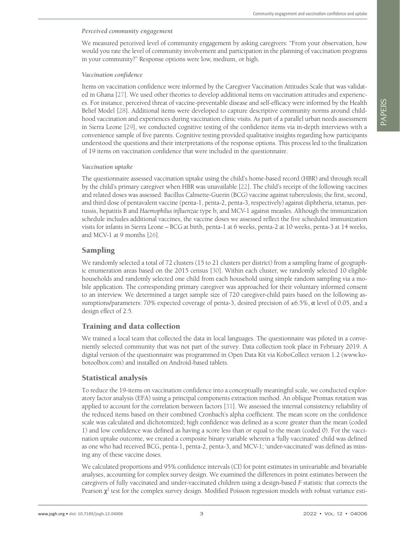#### *Perceived community engagement*

We measured perceived level of community engagement by asking caregivers: "From your observation, how would you rate the level of community involvement and participation in the planning of vaccination programs in your community?" Response options were low, medium, or high.

#### *Vaccination confidence*

Items on vaccination confidence were informed by the Caregiver Vaccination Attitudes Scale that was validated in Ghana [[27](#page-12-12)]. We used other theories to develop additional items on vaccination attitudes and experiences. For instance, perceived threat of vaccine-preventable disease and self-efficacy were informed by the Health Belief Model [\[28](#page-12-13)]. Additional items were developed to capture descriptive community norms around childhood vaccination and experiences during vaccination clinic visits. As part of a parallel urban needs assessment in Sierra Leone [[29](#page-12-14)], we conducted cognitive testing of the confidence items via in-depth interviews with a convenience sample of five parents. Cognitive testing provided qualitative insights regarding how participants understood the questions and their interpretations of the response options. This process led to the finalization of 19 items on vaccination confidence that were included in the questionnaire.

#### *Vaccination uptake*

The questionnaire assessed vaccination uptake using the child's home-based record (HBR) and through recall by the child's primary caregiver when HBR was unavailable [[22\]](#page-12-7). The child's receipt of the following vaccines and related doses was assessed: Bacillus Calmette-Guerin (BCG) vaccine against tuberculosis; the first, second, and third dose of pentavalent vaccine (penta-1, penta-2, penta-3, respectively) against diphtheria, tetanus, pertussis, hepatitis B and *Haemophilus influenzae* type b; and MCV-1 against measles. Although the immunization schedule includes additional vaccines, the vaccine doses we assessed reflect the five scheduled immunization visits for infants in Sierra Leone – BCG at birth, penta-1 at 6 weeks, penta-2 at 10 weeks, penta-3 at 14 weeks, and MCV-1 at 9 months [[26](#page-12-11)].

### Sampling

We randomly selected a total of 72 clusters (15 to 21 clusters per district) from a sampling frame of geographic enumeration areas based on the 2015 census [\[30](#page-12-15)]. Within each cluster, we randomly selected 10 eligible households and randomly selected one child from each household using simple random sampling via a mobile application. The corresponding primary caregiver was approached for their voluntary informed consent to an interview. We determined a target sample size of 720 caregiver-child pairs based on the following assumptions/parameters: 70% expected coverage of penta-3, desired precision of  $\pm 6.5\%$ ,  $\alpha$  level of 0.05, and a design effect of 2.5.

#### Training and data collection

We trained a local team that collected the data in local languages. The questionnaire was piloted in a conveniently selected community that was not part of the survey. Data collection took place in February 2019. A digital version of the questionnaire was programmed in Open Data Kit via KoboCollect version 1.2 (www.kobotoolbox.com) and installed on Android-based tablets.

#### Statistical analysis

To reduce the 19-items on vaccination confidence into a conceptually meaningful scale, we conducted exploratory factor analysis (EFA) using a principal components extraction method. An oblique Promax rotation was applied to account for the correlation between factors [\[31\]](#page-12-16). We assessed the internal consistency reliability of the reduced items based on their combined Cronbach's alpha coefficient. The mean score on the confidence scale was calculated and dichotomized; high confidence was defined as a score greater than the mean (coded 1) and low confidence was defined as having a score less than or equal to the mean (coded 0). For the vaccination uptake outcome, we created a composite binary variable wherein a 'fully vaccinated' child was defined as one who had received BCG, penta-1, penta-2, penta-3, and MCV-1; 'under-vaccinated' was defined as missing any of these vaccine doses.

We calculated proportions and 95% confidence intervals (CI) for point estimates in univariable and bivariable analyses, accounting for complex survey design. We examined the differences in point estimates between the caregivers of fully vaccinated and under-vaccinated children using a design-based *F* statistic that corrects the Pearson  $\chi^2$  test for the complex survey design. Modified Poisson regression models with robust variance esti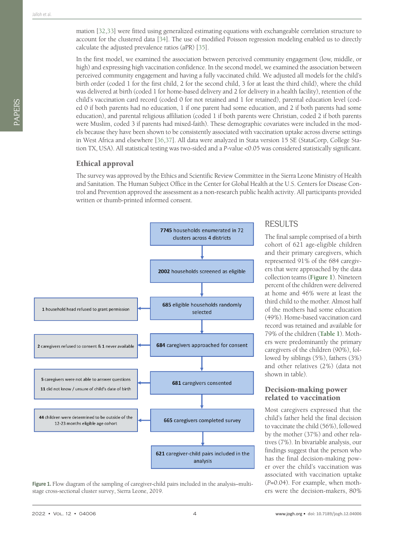mation [[32](#page-12-17)[,33\]](#page-12-18) were fitted using generalized estimating equations with exchangeable correlation structure to account for the clustered data [\[34](#page-12-19)]. The use of modified Poisson regression modeling enabled us to directly calculate the adjusted prevalence ratios (aPR) [\[35\]](#page-12-20).

In the first model, we examined the association between perceived community engagement (low, middle, or high) and expressing high vaccination confidence. In the second model, we examined the association between perceived community engagement and having a fully vaccinated child. We adjusted all models for the child's birth order (coded 1 for the first child, 2 for the second child, 3 for at least the third child), where the child was delivered at birth (coded 1 for home-based delivery and 2 for delivery in a health facility), retention of the child's vaccination card record (coded 0 for not retained and 1 for retained), parental education level (coded 0 if both parents had no education, 1 if one parent had some education, and 2 if both parents had some education), and parental religious affiliation (coded 1 if both parents were Christian, coded 2 if both parents were Muslim, coded 3 if parents had mixed-faith). These demographic covariates were included in the models because they have been shown to be consistently associated with vaccination uptake across diverse settings in West Africa and elsewhere [[36](#page-12-21)[,37\]](#page-12-22). All data were analyzed in Stata version 15 SE (StataCorp, College Station TX, USA). All statistical testing was two-sided and a *P*-value <0.05 was considered statistically significant.

#### Ethical approval

The survey was approved by the Ethics and Scientific Review Committee in the Sierra Leone Ministry of Health and Sanitation. The Human Subject Office in the Center for Global Health at the U.S. Centers for Disease Control and Prevention approved the assessment as a non-research public health activity. All participants provided written or thumb-printed informed consent.

<span id="page-3-0"></span>

Figure 1. Flow diagram of the sampling of caregiver-child pairs included in the analysis-multistage cross-sectional cluster survey, Sierra Leone, 2019.

## **RESULTS**

The final sample comprised of a birth cohort of 621 age-eligible children and their primary caregivers, which represented 91% of the 684 caregivers that were approached by the data collection teams (**[Figure 1](#page-3-0)**). Nineteen percent of the children were delivered at home and 46% were at least the third child to the mother. Almost half of the mothers had some education (49%). Home-based vaccination card record was retained and available for 79% of the children (**[Table 1](#page-4-0)**). Mothers were predominantly the primary caregivers of the children (90%), followed by siblings (5%), fathers (3%) and other relatives (2%) (data not shown in table).

#### Decision-making power related to vaccination

Most caregivers expressed that the child's father held the final decision to vaccinate the child (56%), followed by the mother (37%) and other relatives (7%). In bivariable analysis, our findings suggest that the person who has the final decision-making power over the child's vaccination was associated with vaccination uptake (*P*=0.04). For example, when mothers were the decision-makers, 80%

PAPERS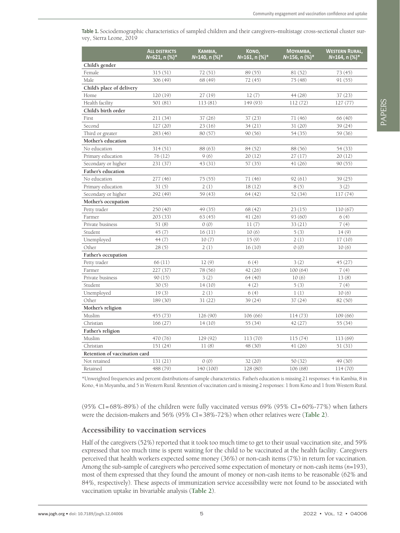<span id="page-4-0"></span>**Table 1.** Sociodemographic characteristics of sampled children and their caregivers–multistage cross-sectional cluster survey, Sierra Leone, 2019

|                               | <b>ALL DISTRICTS</b><br>N=621, n (%)* | KAMBIA,<br>N=140, n (%)* | KONO,<br>N=161, n (%)* | МОҮАМВА,<br>N=156, n (%)* | <b>WESTERN RURAL,</b><br><i>N</i> =164. n (%)* |
|-------------------------------|---------------------------------------|--------------------------|------------------------|---------------------------|------------------------------------------------|
| Child's gender                |                                       |                          |                        |                           |                                                |
| Female                        | 315(51)                               | 72(51)                   | 89 (55)                | 81 (52)                   | 73(45)                                         |
| Male                          | 306 (49)                              | 68 (49)                  | 72(45)                 | 75(48)                    | 91(55)                                         |
| Child's place of delivery     |                                       |                          |                        |                           |                                                |
| Home                          | 120(19)                               | 27(19)                   | 12(7)                  | 44 (28)                   | 37(23)                                         |
| Health facility               | 501 (81)                              | 113 (81)                 | 149 (93)               | 112(72)                   | 127(77)                                        |
| Child's birth order           |                                       |                          |                        |                           |                                                |
| First                         | 211 (34)                              | 37(26)                   | 37(23)                 | 71(46)                    | 66 (40)                                        |
| Second                        | 127(20)                               | 23(16)                   | 34(21)                 | 31(20)                    | 39 (24)                                        |
| Third or greater              | 283 (46)                              | 80(57)                   | 90(56)                 | 54 (35)                   | 59 (36)                                        |
| Mother's education            |                                       |                          |                        |                           |                                                |
| No education                  | 314 (51)                              | 88 (63)                  | 84 (52)                | 88 (56)                   | 54 (33)                                        |
| Primary education             | 76(12)                                | 9(6)                     | 20(12)                 | 27(17)                    | 20(12)                                         |
| Secondary or higher           | 231 (37)                              | 43 (31)                  | 57 (35)                | 41(26)                    | 90(55)                                         |
| <b>Father's education</b>     |                                       |                          |                        |                           |                                                |
| No education                  | 277 (46)                              | 75 (55)                  | 71 (46)                | 92(61)                    | 39 (25)                                        |
| Primary education             | 31(5)                                 | 2(1)                     | 18(12)                 | 8(5)                      | 3(2)                                           |
| Secondary or higher           | 292 (49)                              | 59 (43)                  | 64(42)                 | 52 (34)                   | 117(74)                                        |
| Mother's occupation           |                                       |                          |                        |                           |                                                |
| Petty trader                  | 250 (40)                              | 49 (35)                  | 68 (42)                | 23(15)                    | 110(67)                                        |
| Farmer                        | 203(33)                               | 63(45)                   | 41(26)                 | 93(60)                    | 6(4)                                           |
| Private business              | 51(8)                                 | 0(0)                     | 11(7)                  | 33(21)                    | 7(4)                                           |
| Student                       | 45(7)                                 | 16(11)                   | 10(6)                  | 5(3)                      | 14(9)                                          |
| Unemployed                    | 44(7)                                 | 10(7)                    | 15(9)                  | 2(1)                      | 17(10)                                         |
| Other                         | 28(5)                                 | 2(1)                     | 16(10)                 | 0(0)                      | 10(6)                                          |
| Father's occupation           |                                       |                          |                        |                           |                                                |
| Petty trader                  | 66 (11)                               | 12(9)                    | 6(4)                   | 3(2)                      | 45 (27)                                        |
| Farmer                        | 227 (37)                              | 78 (56)                  | 42 (26)                | 100(64)                   | 7(4)                                           |
| Private business              | 90(15)                                | 3(2)                     | 64 (40)                | 10(6)                     | 13(8)                                          |
| Student                       | 30(5)                                 | 14(10)                   | 4(2)                   | 5(3)                      | 7(4)                                           |
| Unemployed                    | 19(3)                                 | 2(1)                     | 6(4)                   | 1(1)                      | 10(6)                                          |
| Other                         | 189 (30)                              | 31(22)                   | 39 (24)                | 37(24)                    | 82 (50)                                        |
| Mother's religion             |                                       |                          |                        |                           |                                                |
| Muslim                        | 455 (73)                              | 126 (90)                 | 106 (66)               | 114(73)                   | 109 (66)                                       |
| Christian                     | 166(27)                               | 14(10)                   | 55 (34)                | 42(27)                    | 55 (34)                                        |
| Father's religion             |                                       |                          |                        |                           |                                                |
| Muslim                        | 470 (76)                              | 129 (92)                 | 113 (70)               | 115 (74)                  | 113 (69)                                       |
| Christian                     | 151(24)                               | 11(8)                    | 48 (30)                | 41(26)                    | 51(31)                                         |
| Retention of vaccination card |                                       |                          |                        |                           |                                                |
| Not retained                  | 131(21)                               | 0(0)                     | 32 (20)                | 50 (32)                   | 49 (30)                                        |
| Retained                      | 488 (79)                              | 140 (100)                | 128 (80)               | 106 (68)                  | 114(70)                                        |

\*Unweighted frequencies and percent distributions of sample characteristics. Father's education is missing 21 responses: 4 in Kambia, 8 in Kono, 4 in Moyamba, and 5 in Western Rural. Retention of vaccination card is missing 2 responses: 1 from Kono and 1 from Western Rural.

 $(95\% \text{ CI} = 68\% - 89\%)$  of the children were fully vaccinated versus 69%  $(95\% \text{ CI} = 60\% - 77\%)$  when fathers were the decision-makers and 56% (95% CI=38%-72%) when other relatives were (**[Table 2](#page-5-0)**).

#### Accessibility to vaccination services

Half of the caregivers (52%) reported that it took too much time to get to their usual vaccination site, and 59% expressed that too much time is spent waiting for the child to be vaccinated at the health facility. Caregivers perceived that health workers expected some money (36%) or non-cash items (7%) in return for vaccination. Among the sub-sample of caregivers who perceived some expectation of monetary or non-cash items (*n*=193), most of them expressed that they found the amount of money or non-cash items to be reasonable (62% and 84%, respectively). These aspects of immunization service accessibility were not found to be associated with vaccination uptake in bivariable analysis (**[Table 2](#page-5-0)**).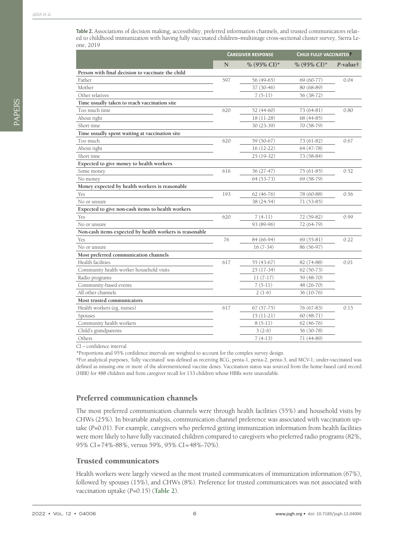<span id="page-5-0"></span>**Table 2.** Associations of decision making, accessibility, preferred information channels, and trusted communicators related to childhood immunization with having fully vaccinated children–multistage cross-sectional cluster survey, Sierra Leone, 2019

|                                                         | <b>CAREGIVER RESPONSE</b> |                         | CHILD FULLY VACCINATED  |          |  |
|---------------------------------------------------------|---------------------------|-------------------------|-------------------------|----------|--|
|                                                         | N                         | % $(95\% \text{ CI})^*$ | % $(95\% \text{ CI})^*$ | P-value‡ |  |
| Person with final decision to vaccinate the child       |                           |                         |                         |          |  |
| Father                                                  | 597                       | 56 (49-65)              | 69 (60-77)              | 0.04     |  |
| Mother                                                  |                           | 37 (30-46)              | 80 (68-89)              |          |  |
| Other relatives                                         |                           | $7(5-11)$               | 56 (38-72)              |          |  |
| Time usually taken to reach vaccination site            |                           |                         |                         |          |  |
| Too much time                                           | 620                       | 52 (44-60)              | 73 (64-81)              | 0.80     |  |
| About right                                             |                           | 18 (11-28)              | 68 (44-85)              |          |  |
| Short time                                              |                           | 30 (23-39)              | 70 (58-79)              |          |  |
| Time usually spent waiting at vaccination site          |                           |                         |                         |          |  |
| Too much                                                | 620                       | 59 (50-67)              | 73 (61-82)              | 0.67     |  |
| About right                                             |                           | $16(12-22)$             | 64 (47-78)              |          |  |
| Short time                                              |                           | 25 (19-32)              | 73 (58-84)              |          |  |
| Expected to give money to health workers                |                           |                         |                         |          |  |
| Some money                                              | 616                       | 36 (27-47)              | $75(61-85)$             | 0.52     |  |
| No money                                                |                           | $64(53-73)$             | 69 (58-79)              |          |  |
| Money expected by health workers is reasonable          |                           |                         |                         |          |  |
| Yes                                                     | 193                       | $62(46-76)$             | 78 (60-88)              | 0.56     |  |
| No or unsure                                            |                           | 38 (24-54)              | $71(53-85)$             |          |  |
| Expected to give non-cash items to health workers       |                           |                         |                         |          |  |
| Yes                                                     | 620                       | $7(4-11)$               | 72 (59-82)              | 0.99     |  |
| No or unsure                                            |                           | 93 (89-96)              | 72 (64-79)              |          |  |
| Non-cash items expected by health workers is reasonable |                           |                         |                         |          |  |
| Yes                                                     | 76                        | 84 (66-94)              | $69(55-81)$             | 0.22     |  |
| No or unsure                                            |                           | $16(7-34)$              | 86 (56-97)              |          |  |
| Most preferred communication channels                   |                           |                         |                         |          |  |
| Health facilities                                       | 617                       | 55 (43-67)              | 82 (74-88)              | 0.01     |  |
| Community health worker household visits                |                           | $25(17-34)$             | $62(50-73)$             |          |  |
| Radio programs                                          |                           | $11(7-17)$              | 59 (48-70)              |          |  |
| Community-based events                                  |                           | $7(5-11)$               | 48 (26-70)              |          |  |
| All other channels                                      |                           | $2(1-6)$                | 36 (10-76)              |          |  |
| Most trusted communicators                              |                           |                         |                         |          |  |
| Health workers (eg, nurses)                             | 617                       | $67(57-75)$             | 76 (67-83)              | 0.15     |  |
| Spouses                                                 |                           | $15(11-21)$             | 60 (48-71)              |          |  |
| Community health workers                                |                           | $8(5-11)$               | $62(46-76)$             |          |  |
| Child's grandparents                                    |                           | $3(2-6)$                | 56 (30-78)              |          |  |
| Others                                                  |                           | $7(4-13)$               | 71 (44-89)              |          |  |

CI – confidence interval

\*Proportions and 95% confidence intervals are weighted to account for the complex survey design.

†For analytical purposes, 'fully vaccinated' was defined as receiving BCG, penta-1, penta-2, penta-3, and MCV-1; under-vaccinated was defined as missing one or more of the aforementioned vaccine doses. Vaccination status was sourced from the home-based card record (HBR) for 488 children and from caregiver recall for 133 children whose HBRs were unavailable.

#### Preferred communication channels

The most preferred communication channels were through health facilities (55%) and household visits by CHWs (25%). In bivariable analysis, communication channel preference was associated with vaccination uptake (*P*=0.01). For example, caregivers who preferred getting immunization information from health facilities were more likely to have fully vaccinated children compared to caregivers who preferred radio programs (82%, 95% CI=74%-88%, versus 59%, 95% CI=48%-70%).

#### Trusted communicators

Health workers were largely viewed as the most trusted communicators of immunization information (67%), followed by spouses (15%), and CHWs (8%). Preference for trusted communicators was not associated with vaccination uptake (*P*=0.15) (**[Table 2](#page-5-0)**).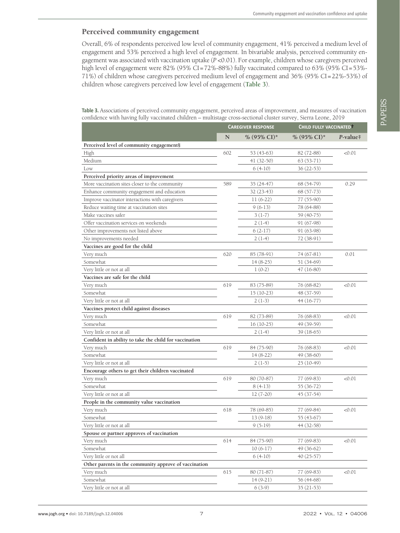#### Perceived community engagement

Overall, 6% of respondents perceived low level of community engagement, 41% perceived a medium level of engagement and 53% perceived a high level of engagement. In bivariable analysis, perceived community engagement was associated with vaccination uptake (*P* <0.01). For example, children whose caregivers perceived high level of engagement were 82% (95% CI=72%-88%) fully vaccinated compared to 63% (95% CI=53%-71%) of children whose caregivers perceived medium level of engagement and 36% (95% CI=22%-53%) of children whose caregivers perceived low level of engagement (**[Table 3](#page-6-0)**).

<span id="page-6-0"></span>**Table 3.** Associations of perceived community engagement, perceived areas of improvement, and measures of vaccination confidence with having fully vaccinated children – multistage cross-sectional cluster survey, Sierra Leone, 2019

|                                                        |     | <b>CAREGIVER RESPONSE</b> | CHILD FULLY VACCINATED  |                       |
|--------------------------------------------------------|-----|---------------------------|-------------------------|-----------------------|
|                                                        | N   | % (95% CI)*               | % $(95\% \text{ CI})^*$ | $P$ -value $\ddagger$ |
| Perceived level of community engagement§               |     |                           |                         |                       |
| High                                                   | 602 | 53 (43-63)                | 82 (72-88)              | <0.01                 |
| Medium                                                 |     | $41(32-50)$               | $63(53-71)$             |                       |
| Low                                                    |     | $6(4-10)$                 | 36 (22-53)              |                       |
| Perceived priority areas of improvement                |     |                           |                         |                       |
| More vaccination sites closer to the community         | 589 | 35 (24-47)                | 68 (54-79)              | 0.29                  |
| Enhance community engagement and education             |     | $32(23-43)$               | 68 (57-73)              |                       |
| Improve vaccinator interactions with caregivers        |     | $11(6-22)$                | 77 (55-90)              |                       |
| Reduce waiting time at vaccination sites               |     | $9(6-13)$                 | 78 (64-88)              |                       |
| Make vaccines safer                                    |     | $3(1-7)$                  | 59 (40-75)              |                       |
| Offer vaccination services on weekends                 |     | $2(1-4)$                  | 91 (67-98)              |                       |
| Other improvements not listed above                    |     | $6(2-17)$                 | 91 (63-98)              |                       |
| No improvements needed                                 |     | $2(1-4)$                  | 72 (38-91)              |                       |
| Vaccines are good for the child                        |     |                           |                         |                       |
| Very much                                              | 620 | 85 (78-91)                | 74 (67-81)              | 0.01                  |
| Somewhat                                               |     | $14(8-25)$                | 51 (34-69)              |                       |
| Very little or not at all                              |     | $1(0-2)$                  | 47 (16-80)              |                       |
| Vaccines are safe for the child                        |     |                           |                         |                       |
| Very much                                              | 619 | 83 (75-89)                | 76 (68-82)              | <0.01                 |
| Somewhat                                               |     | $15(10-23)$               | 48 (37-59)              |                       |
| Very little or not at all                              |     | $2(1-3)$                  | 44 (16-77)              |                       |
| Vaccines protect child against diseases                |     |                           |                         |                       |
| Very much                                              | 619 | 82 (73-89)                | 76 (68-83)              | <0.01                 |
| Somewhat                                               |     | $16(10-25)$               | 49 (39-59)              |                       |
| Very little or not at all                              |     | $2(1-4)$                  | 39 (18-65)              |                       |
| Confident in ability to take the child for vaccination |     |                           |                         |                       |
| Very much                                              | 619 | 84 (75-90)                | 76 (68-83)              | <0.01                 |
| Somewhat                                               |     | $14(8-22)$                | 49 (38-60)              |                       |
| Very little or not at all                              |     | $2(1-5)$                  | 25 (10-49)              |                       |
| Encourage others to get their children vaccinated      |     |                           |                         |                       |
| Very much                                              | 619 | 80 (70-87)                | 77 (69-83)              | <0.01                 |
| Somewhat                                               |     | $8(4-13)$                 | 55 (36-72)              |                       |
| Very little or not at all                              |     | $12(7-20)$                | 45 (37-54)              |                       |
| People in the community value vaccination              |     |                           |                         |                       |
| Very much                                              | 618 | 78 (69-85)                | 77 (69-84)              | <0.01                 |
| Somewhat                                               |     | $13(9-18)$                | 55 (43-67)              |                       |
| Very little or not at all                              |     | $9(5-19)$                 | 44 (32-58)              |                       |
| Spouse or partner approves of vaccination              |     |                           |                         |                       |
| Very much                                              | 614 | 84 (75-90)                | 77 (69-83)              | < 0.01                |
| Somewhat                                               |     | $10(6-17)$                | 49 (36-62)              |                       |
| Very little or not all                                 |     | $6(4-10)$                 | 40 (25-57)              |                       |
| Other parents in the community approve of vaccination  |     |                           |                         |                       |
| Very much                                              | 615 | 80 (71-87)                | 77 (69-83)              | < 0.01                |
| Somewhat                                               |     | $14(9-21)$                | 56 (44-68)              |                       |
| Very little or not at all                              |     | $6(3-9)$                  | $35(21-53)$             |                       |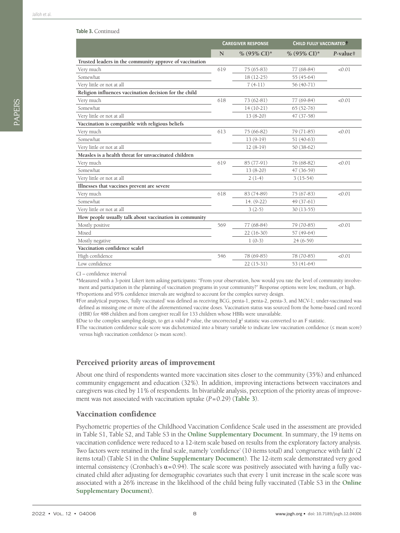#### **Table 3.** Continued

|                                                         | <b>CAREGIVER RESPONSE</b> |                         | CHILD FULLY VACCINATED <sup>+</sup> |                       |
|---------------------------------------------------------|---------------------------|-------------------------|-------------------------------------|-----------------------|
|                                                         | N                         | % $(95\% \text{ CI})^*$ | % $(95\% \text{ CI})^*$             | $P$ -value $\ddagger$ |
| Trusted leaders in the community approve of vaccination |                           |                         |                                     |                       |
| Very much                                               | 619                       | $75(65-83)$             | 77 (68-84)                          | < 0.01                |
| Somewhat                                                |                           | $18(12-25)$             | 55 (45-64)                          |                       |
| Very little or not at all                               |                           | $7(4-11)$               | 56 (40-71)                          |                       |
| Religion influences vaccination decision for the child  |                           |                         |                                     |                       |
| Very much                                               | 618                       | 73 (62-81)              | 77 (69-84)                          | < 0.01                |
| Somewhat                                                |                           | $14(10-21)$             | $65(52-76)$                         |                       |
| Very little or not at all                               |                           | $13(8-20)$              | 47 (37-58)                          |                       |
| Vaccination is compatible with religious beliefs        |                           |                         |                                     |                       |
| Very much                                               | 613                       | 75 (66-82)              | 79 (71-85)                          | < 0.01                |
| Somewhat                                                |                           | $13(9-19)$              | $51(40-63)$                         |                       |
| Very little or not at all                               |                           | $12(8-19)$              | $50(38-62)$                         |                       |
| Measles is a health threat for unvaccinated children    |                           |                         |                                     |                       |
| Very much                                               | 619                       | 85 (77-91)              | 76 (68-82)                          | < 0.01                |
| Somewhat                                                |                           | $13(8-20)$              | 47 (36-59)                          |                       |
| Very little or not at all                               |                           | $2(1-4)$                | $3(15-54)$                          |                       |
| Illnesses that vaccines prevent are severe              |                           |                         |                                     |                       |
| Very much                                               | 618                       | 83 (74-89)              | 75 (67-83)                          | < 0.01                |
| Somewhat                                                |                           | $14. (9-22)$            | $49(37-61)$                         |                       |
| Very little or not at all                               |                           | $3(2-5)$                | $30(13-55)$                         |                       |
| How people usually talk about vaccination in community  |                           |                         |                                     |                       |
| Mostly positive                                         | 569                       | 77 (68-84)              | 79 (70-85)                          | < 0.01                |
| Mixed                                                   |                           | $22(16-30)$             | 57 (49-64)                          |                       |
| Mostly negative                                         |                           | $1(0-3)$                | $24(6-59)$                          |                       |
| Vaccination confidence scale                            |                           |                         |                                     |                       |
| High confidence                                         | 546                       | 78 (69-85)              | 78 (70-85)                          | < 0.01                |
| Low confidence                                          |                           | $22(15-31)$             | 53 (41-64)                          |                       |

CI – confidence interval

\*Measured with a 3-point Likert item asking participants: "From your observation, how would you rate the level of community involvement and participation in the planning of vaccination programs in your community?" Response options were low, medium, or high. †Proportions and 95% confidence intervals are weighted to account for the complex survey design.

**‡**For analytical purposes, 'fully vaccinated' was defined as receiving BCG, penta-1, penta-2, penta-3, and MCV-1; under-vaccinated was defined as missing one or more of the aforementioned vaccine doses. Vaccination status was sourced from the home-based card record (HBR) for 488 children and from caregiver recall for 133 children whose HBRs were unavailable.

 $\delta$ Due to the complex sampling design, to get a valid *P* value, the uncorrected  $\chi^2$  statistic was converted to an F statistic.

‖The vaccination confidence scale score was dichotomized into a binary variable to indicate low vaccination confidence (≤ mean score) versus high vaccination confidence (> mean score).

## Perceived priority areas of improvement

About one third of respondents wanted more vaccination sites closer to the community (35%) and enhanced community engagement and education (32%). In addition, improving interactions between vaccinators and caregivers was cited by 11% of respondents. In bivariable analysis, perception of the priority areas of improvement was not associated with vaccination uptake (*P*=0.29) (**[Table 3](#page-6-0)**).

#### Vaccination confidence

Psychometric properties of the Childhood Vaccination Confidence Scale used in the assessment are provided in Table S1, Table S2, and Table S3 in the **Online [Supplementary](#page-11-10) Document**. In summary, the 19 items on vaccination confidence were reduced to a 12-item scale based on results from the exploratory factory analysis. Two factors were retained in the final scale, namely 'confidence' (10 items total) and 'congruence with faith' (2 items total) (Table S1 in the **Online [Supplementary](#page-11-10) Document**). The 12-item scale demonstrated very good internal consistency (Cronbach's  $α=0.94$ ). The scale score was positively associated with having a fully vaccinated child after adjusting for demographic covariates such that every 1 unit increase in the scale score was associated with a 26% increase in the likelihood of the child being fully vaccinated (Table S3 in the **[Online](#page-11-10) [Supplementary](#page-11-10) Document**).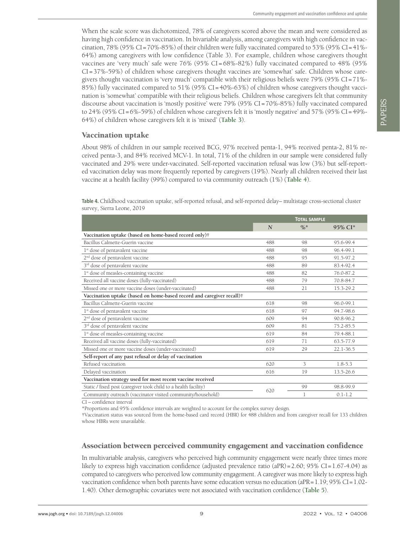When the scale score was dichotomized, 78% of caregivers scored above the mean and were considered as having high confidence in vaccination. In bivariable analysis, among caregivers with high confidence in vaccination, 78% (95% CI=70%-85%) of their children were fully vaccinated compared to 53% (95% CI=41%- 64%) among caregivers with low confidence (Table 3). For example, children whose caregivers thought vaccines are 'very much' safe were 76% (95% CI = 68%-82%) fully vaccinated compared to 48% (95% CI=37%-59%) of children whose caregivers thought vaccines are 'somewhat' safe. Children whose caregivers thought vaccination is 'very much' compatible with their religious beliefs were 79% (95% CI=71%- 85%) fully vaccinated compared to 51% (95% CI=40%-63%) of children whose caregivers thought vaccination is 'somewhat' compatible with their religious beliefs. Children whose caregivers felt that community discourse about vaccination is 'mostly positive' were 79% (95% CI=70%-85%) fully vaccinated compared to 24% (95% CI=6%-59%) of children whose caregivers felt it is 'mostly negative' and 57% (95% CI=49%-64%) of children whose caregivers felt it is 'mixed' (**[Table 3](#page-6-0)**).

### Vaccination uptake

About 98% of children in our sample received BCG, 97% received penta-1, 94% received penta-2, 81% received penta-3, and 84% received MCV-1. In total, 71% of the children in our sample were considered fully vaccinated and 29% were under-vaccinated. Self-reported vaccination refusal was low (3%) but self-reported vaccination delay was more frequently reported by caregivers (19%). Nearly all children received their last vaccine at a health facility (99%) compared to via community outreach (1%) (**[Table 4](#page-8-0)**).

<span id="page-8-0"></span>

| Table 4. Childhood vaccination uptake, self-reported refusal, and self-reported delay-multistage cross-sectional cluster |  |  |  |
|--------------------------------------------------------------------------------------------------------------------------|--|--|--|
| survey, Sierra Leone, 2019                                                                                               |  |  |  |

|                                                                       |             | <b>TOTAL SAMPLE</b> |             |
|-----------------------------------------------------------------------|-------------|---------------------|-------------|
|                                                                       | $\mathbf N$ | $\frac{0}{6}$ *     | 95% CI*     |
| Vaccination uptake (based on home-based record only)†                 |             |                     |             |
| Bacillus Calmette-Guerin vaccine                                      | 488         | 98                  | 95.6-99.4   |
| 1 <sup>st</sup> dose of pentavalent vaccine                           | 488         | 98                  | 96.4-99.1   |
| 2 <sup>nd</sup> dose of pentavalent vaccine                           | 488         | 95                  | 91.5-97.2   |
| 3 <sup>rd</sup> dose of pentavalent vaccine                           | 488         | 89                  | 83.4-92.4   |
| 1 <sup>st</sup> dose of measles-containing vaccine                    | 488         | 82                  | 76.0-87.2   |
| Received all vaccine doses (fully-vaccinated)                         | 488         | 79                  | 70.8-84.7   |
| Missed one or more vaccine doses (under-vaccinated)                   | 488         | 21                  | 15.3-29.2   |
| Vaccination uptake (based on home-based record and caregiver recall)† |             |                     |             |
| Bacillus Calmette-Guerin vaccine                                      | 618         | 98                  | 96.0-99.1   |
| 1 <sup>st</sup> dose of pentavalent vaccine                           | 618         | 97                  | 94.7-98.6   |
| 2 <sup>nd</sup> dose of pentavalent vaccine                           | 609         | 94                  | 90.8-96.2   |
| 3 <sup>rd</sup> dose of pentavalent vaccine                           | 609         | 81                  | 75.2-85.5   |
| 1 <sup>st</sup> dose of measles-containing vaccine                    | 619         | 84                  | 79.4-88.1   |
| Received all vaccine doses (fully-vaccinated)                         | 619         | 71                  | 63.5-77.9   |
| Missed one or more vaccine doses (under-vaccinated)                   | 619         | 29                  | 22.1-36.5   |
| Self-report of any past refusal or delay of vaccination               |             |                     |             |
| Refused vaccination                                                   | 620         | 3                   | $1.8 - 5.3$ |
| Delayed vaccination                                                   | 616         | 19                  | 13.5-26.6   |
| Vaccination strategy used for most recent vaccine received            |             |                     |             |
| Static / fixed post (caregiver took child to a health facility)       | 620         | 99                  | 98.8-99.9   |
| Community outreach (vaccinator visited community/household)           |             | 1                   | $0.1 - 1.2$ |

CI – confidence interval

\*Proportions and 95% confidence intervals are weighted to account for the complex survey design.

†Vaccination status was sourced from the home-based card record (HBR) for 488 children and from caregiver recall for 133 children whose HBRs were unavailable.

#### Association between perceived community engagement and vaccination confidence

In multivariable analysis, caregivers who perceived high community engagement were nearly three times more likely to express high vaccination confidence (adjusted prevalence ratio (aPR) = 2.60; 95% CI=1.67-4.04) as compared to caregivers who perceived low community engagement. A caregiver was more likely to express high vaccination confidence when both parents have some education versus no education (aPR=1.19; 95% CI=1.02- 1.40). Other demographic covariates were not associated with vaccination confidence (**[Table 5](#page-9-0)**).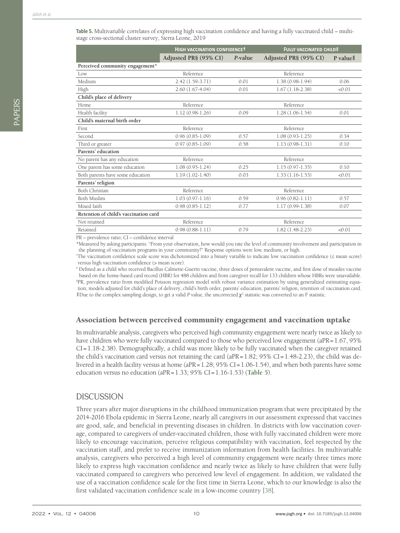<span id="page-9-0"></span>

|                                       | <b>HIGH VACCINATION CONFIDENCET</b> |         | <b>FULLY VACCINATED CHILD‡</b> |          |  |
|---------------------------------------|-------------------------------------|---------|--------------------------------|----------|--|
|                                       | Adjusted PR§ (95% CI)               | P-value | Adjusted PR§ (95% CI)          | P valuel |  |
| Perceived community engagement*       |                                     |         |                                |          |  |
| $_{\text{low}}$                       | Reference                           |         | Reference                      |          |  |
| Medium                                | 2.42 (1.59-3.71)                    | 0.01    | $1.38(0.98-1.94)$              | 0.06     |  |
| High                                  | $2.60(1.67-4.04)$                   | 0.01    | $1.67(1.18-2.38)$              | < 0.01   |  |
| Child's place of delivery             |                                     |         |                                |          |  |
| <b>Home</b>                           | Reference                           |         | Reference                      |          |  |
| Health facility                       | $1.12(0.98-1.26)$                   | 0.09    | $1.28(1.06-1.54)$              | 0.01     |  |
| Child's maternal birth order          |                                     |         |                                |          |  |
| First                                 | Reference                           |         | Reference                      |          |  |
| Second                                | $0.96(0.85-1.09)$                   | 0.57    | $1.08(0.93 - 1.25)$            | 0.34     |  |
| Third or greater                      | $0.97(0.85 - 1.09)$                 | 0.58    | $1.13(0.98-1.31)$              | 0.10     |  |
| Parents' education                    |                                     |         |                                |          |  |
| No parent has any education           | Reference                           |         | Reference                      |          |  |
| One parent has some education         | $1.08(0.95-1.24)$                   | 0.25    | $1.15(0.97-1.35)$              | 0.10     |  |
| Both parents have some education      | $1.19(1.02-1.40)$                   | 0.03    | $1.33(1.16-1.53)$              | < 0.01   |  |
| Parents' religion                     |                                     |         |                                |          |  |
| Both Christian                        | Reference                           |         | Reference                      |          |  |
| Both Muslim                           | $1.03(0.97-1.16)$                   | 0.59    | $0.96(0.82 - 1.11)$            | 0.57     |  |
| Mixed faith                           | $0.98(0.85-1.12)$                   | 0.77    | $1.17(0.99-1.38)$              | 0.07     |  |
| Retention of child's vaccination card |                                     |         |                                |          |  |
| Not retained                          | Reference                           |         | Reference                      |          |  |
| Retained                              | $0.98(0.88-1.11)$                   | 0.79    | $1.82(1.48-2.23)$              | < 0.01   |  |

PR – prevalence ratio; CI – confidence interval

\*Measured by asking participants: "From your observation, how would you rate the level of community involvement and participation in the planning of vaccination programs in your community?" Response options were low, medium, or high.

† The vaccination confidence scale score was dichotomized into a binary variable to indicate low vaccination confidence (≤ mean score) versus high vaccination confidence (> mean score).

‡ Defined as a child who received Bacillus Calmette-Guerin vaccine, three doses of pentavalent vaccine, and first dose of measles vaccine based on the home-based card record (HBR) for 488 children and from caregiver recall for 133 children whose HBRs were unavailable. § PR, prevalence ratio from modified Poisson regression model with robust variance estimation by using generalized estimating equation; models adjusted for child's place of delivery, child's birth order, parents' education, parents' religion, retention of vaccination card. II Due to the complex sampling design, to get a valid *P* value, the uncorrected  $χ$ <sup>2</sup> statistic was converted to an F statistic.

#### Association between perceived community engagement and vaccination uptake

In multivariable analysis, caregivers who perceived high community engagement were nearly twice as likely to have children who were fully vaccinated compared to those who perceived low engagement (aPR=1.67, 95%) CI=1.18-2.38). Demographically, a child was more likely to be fully vaccinated when the caregiver retained the child's vaccination card versus not retaining the card ( $aPR=1.82$ ; 95% CI=1.48-2.23), the child was delivered in a health facility versus at home (aPR=1.28; 95% CI=1.06-1.54), and when both parents have some education versus no education (aPR=1.33; 95% CI=1.16-1.53) (**[Table 5](#page-9-0)**).

## **DISCUSSION**

Three years after major disruptions in the childhood immunization program that were precipitated by the 2014-2016 Ebola epidemic in Sierra Leone, nearly all caregivers in our assessment expressed that vaccines are good, safe, and beneficial in preventing diseases in children. In districts with low vaccination coverage, compared to caregivers of under-vaccinated children, those with fully vaccinated children were more likely to encourage vaccination, perceive religious compatibility with vaccination, feel respected by the vaccination staff, and prefer to receive immunization information from health facilities. In multivariable analysis, caregivers who perceived a high level of community engagement were nearly three times more likely to express high vaccination confidence and nearly twice as likely to have children that were fully vaccinated compared to caregivers who perceived low level of engagement. In addition, we validated the use of a vaccination confidence scale for the first time in Sierra Leone, which to our knowledge is also the first validated vaccination confidence scale in a low-income country [\[38](#page-12-23)].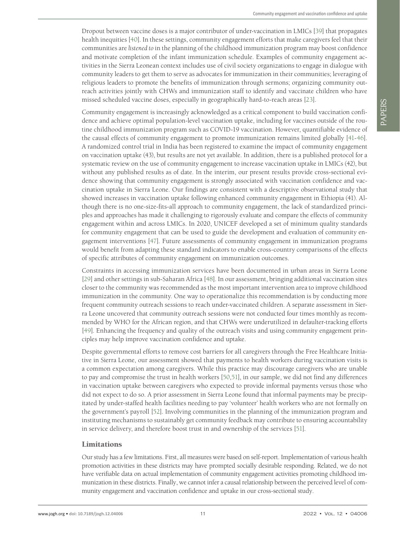Dropout between vaccine doses is a major contributor of under-vaccination in LMICs [[39\]](#page-12-24) that propagates health inequities [\[40\]](#page-12-25). In these settings, community engagement efforts that make caregivers feel that their communities are *listened to* in the planning of the childhood immunization program may boost confidence and motivate completion of the infant immunization schedule. Examples of community engagement activities in the Sierra Leonean context includes use of civil society organizations to engage in dialogue with community leaders to get them to serve as advocates for immunization in their communities; leveraging of religious leaders to promote the benefits of immunization through sermons; organizing community outreach activities jointly with CHWs and immunization staff to identify and vaccinate children who have missed scheduled vaccine doses, especially in geographically hard-to-reach areas [[23\]](#page-12-8).

Community engagement is increasingly acknowledged as a critical component to build vaccination confidence and achieve optimal population-level vaccination uptake, including for vaccines outside of the routine childhood immunization program such as COVID-19 vaccination. However, quantifiable evidence of the causal effects of community engagement to promote immunization remains limited globally [[41-](#page-12-26)[46\]](#page-13-0). A randomized control trial in India has been registered to examine the impact of community engagement on vaccination uptake (43), but results are not yet available. In addition, there is a published protocol for a systematic review on the use of community engagement to increase vaccination uptake in LMICs (42), but without any published results as of date. In the interim, our present results provide cross-sectional evidence showing that community engagement is strongly associated with vaccination confidence and vaccination uptake in Sierra Leone. Our findings are consistent with a descriptive observational study that showed increases in vaccination uptake following enhanced community engagement in Ethiopia (41). Although there is no one-size-fits-all approach to community engagement, the lack of standardized principles and approaches has made it challenging to rigorously evaluate and compare the effects of community engagement within and across LMICs. In 2020, UNICEF developed a set of minimum quality standards for community engagement that can be used to guide the development and evaluation of community engagement interventions [\[47](#page-13-1)]. Future assessments of community engagement in immunization programs would benefit from adapting these standard indicators to enable cross-country comparisons of the effects of specific attributes of community engagement on immunization outcomes.

Constraints in accessing immunization services have been documented in urban areas in Sierra Leone [\[29\]](#page-12-14) and other settings in sub-Saharan Africa [\[48](#page-13-2)]. In our assessment, bringing additional vaccination sites closer to the community was recommended as the most important intervention area to improve childhood immunization in the community. One way to operationalize this recommendation is by conducting more frequent community outreach sessions to reach under-vaccinated children. A separate assessment in Sierra Leone uncovered that community outreach sessions were not conducted four times monthly as recommended by WHO for the African region, and that CHWs were underutilized in defaulter-tracking efforts [\[49](#page-13-3)]. Enhancing the frequency and quality of the outreach visits and using community engagement principles may help improve vaccination confidence and uptake.

Despite governmental efforts to remove cost barriers for all caregivers through the Free Healthcare Initiative in Sierra Leone, our assessment showed that payments to health workers during vaccination visits is a common expectation among caregivers. While this practice may discourage caregivers who are unable to pay and compromise the trust in health workers [\[50](#page-13-4),[51](#page-13-5)], in our sample, we did not find any differences in vaccination uptake between caregivers who expected to provide informal payments versus those who did not expect to do so. A prior assessment in Sierra Leone found that informal payments may be precipitated by under-staffed health facilities needing to pay 'volunteer' health workers who are not formally on the government's payroll [\[52\]](#page-13-6). Involving communities in the planning of the immunization program and instituting mechanisms to sustainably get community feedback may contribute to ensuring accountability in service delivery, and therefore boost trust in and ownership of the services [\[51](#page-13-5)].

#### Limitations

Our study has a few limitations. First, all measures were based on self-report. Implementation of various health promotion activities in these districts may have prompted socially desirable responding. Related, we do not have verifiable data on actual implementation of community engagement activities promoting childhood immunization in these districts. Finally, we cannot infer a causal relationship between the perceived level of community engagement and vaccination confidence and uptake in our cross-sectional study.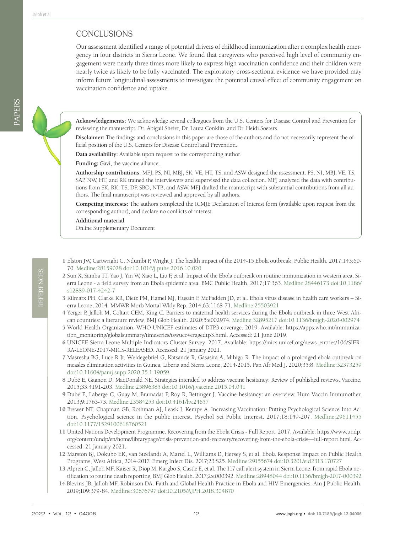## **CONCLUSIONS**

Our assessment identified a range of potential drivers of childhood immunization after a complex health emergency in four districts in Sierra Leone. We found that caregivers who perceived high level of community engagement were nearly three times more likely to express high vaccination confidence and their children were nearly twice as likely to be fully vaccinated. The exploratory cross-sectional evidence we have provided may inform future longitudinal assessments to investigate the potential causal effect of community engagement on vaccination confidence and uptake.

**Acknowledgements:** We acknowledge several colleagues from the U.S. Centers for Disease Control and Prevention for reviewing the manuscript: Dr. Abigail Shefer, Dr. Laura Conklin, and Dr. Heidi Soeters.

**Disclaimer:** The findings and conclusions in this paper are those of the authors and do not necessarily represent the official position of the U.S. Centers for Disease Control and Prevention.

**Data availability:** Available upon request to the corresponding author.

**Funding:** Gavi, the vaccine alliance.

**Authorship contributions:** MFJ, PS, NI, MBJ, SK, VE, HT, TS, and ASW designed the assessment. PS, NI, MBJ, VE, TS, SAP, NW, HT, and RK trained the interviewers and supervised the data collection. MFJ analyzed the data with contributions from SK, RK, TS, DP, SBO, NTB, and ASW. MFJ drafted the manuscript with substantial contributions from all authors. The final manuscript was reviewed and approved by all authors.

**Competing interests:** The authors completed the ICMJE Declaration of Interest form (available upon request from the corresponding author), and declare no conflicts of interest.

**Additional material**

<span id="page-11-10"></span>[Online Supplementary Document](http://jogh.org/documents/2021/jogh-12-04006-s001.pdf)

REFERENCES

REFERENCES

- <span id="page-11-0"></span>1 Elston JW, Cartwright C, Ndumbi P, Wright J. The health impact of the 2014-15 Ebola outbreak. Public Health. 2017;143:60- 70. [Medline:28159028](https://www.ncbi.nlm.nih.gov/entrez/query.fcgi?cmd=Retrieve&db=PubMed&list_uids=28159028&dopt=Abstract) [doi:10.1016/j.puhe.2016.10.020](https://doi.org/10.1016/j.puhe.2016.10.020)
- <span id="page-11-1"></span>2 Sun X, Samba TT, Yao J, Yin W, Xiao L, Liu F, et al. Impact of the Ebola outbreak on routine immunization in western area, Sierra Leone - a field survey from an Ebola epidemic area. BMC Public Health. 2017;17:363. [Medline:28446173](https://www.ncbi.nlm.nih.gov/entrez/query.fcgi?cmd=Retrieve&db=PubMed&list_uids=28446173&dopt=Abstract) [doi:10.1186/](https://doi.org/10.1186/s12889-017-4242-7) [s12889-017-4242-7](https://doi.org/10.1186/s12889-017-4242-7)
- <span id="page-11-2"></span>3 Kilmarx PH, Clarke KR, Dietz PM, Hamel MJ, Husain F, McFadden JD, et al. Ebola virus disease in health care workers – Sierra Leone, 2014. MMWR Morb Mortal Wkly Rep. 2014;63:1168-71. [Medline:25503921](https://www.ncbi.nlm.nih.gov/entrez/query.fcgi?cmd=Retrieve&db=PubMed&list_uids=25503921&dopt=Abstract)
- <span id="page-11-3"></span>4 Yerger P, Jalloh M, Coltart CEM, King C. Barriers to maternal health services during the Ebola outbreak in three West African countries: a literature review. BMJ Glob Health. 2020;5:e002974. [Medline:32895217](https://www.ncbi.nlm.nih.gov/entrez/query.fcgi?cmd=Retrieve&db=PubMed&list_uids=32895217&dopt=Abstract) [doi:10.1136/bmjgh-2020-002974](https://doi.org/10.1136/bmjgh-2020-002974)
- <span id="page-11-4"></span>5 World Health Organization. WHO-UNICEF estimates of DTP3 coverage. 2019. Available: [https://apps.who.int/immuniza](https://apps.who.int/immunization_monitoring/globalsummary/timeseries/tswucoveragedtp3.html)[tion\\_monitoring/globalsummary/timeseries/tswucoveragedtp3.html](https://apps.who.int/immunization_monitoring/globalsummary/timeseries/tswucoveragedtp3.html). Accessed: 21 June 2019.
- <span id="page-11-5"></span>6 UNICEF. Sierra Leone Multiple Indicators Cluster Survey. 2017. Available: [https://mics.unicef.org/news\\_entries/106/SIER-](https://mics.unicef.org/news_entries/106/SIERRA-LEONE-2017-MICS-RELEASED)[RA-LEONE-2017-MICS-RELEASED](https://mics.unicef.org/news_entries/106/SIERRA-LEONE-2017-MICS-RELEASED). Accessed: 21 January 2021.
- <span id="page-11-6"></span>7 Masresha BG, Luce R Jr, Weldegebriel G, Katsande R, Gasasira A, Mihigo R. The impact of a prolonged ebola outbreak on measles elimination activities in Guinea, Liberia and Sierra Leone, 2014-2015. Pan Afr Med J. 2020;35:8. [Medline:32373259](https://www.ncbi.nlm.nih.gov/entrez/query.fcgi?cmd=Retrieve&db=PubMed&list_uids=32373259&dopt=Abstract) [doi:10.11604/pamj.supp.2020.35.1.19059](https://doi.org/10.11604/pamj.supp.2020.35.1.19059)
- <span id="page-11-7"></span>8 Dubé E, Gagnon D, MacDonald NE. Strategies intended to address vaccine hesitancy: Review of published reviews. Vaccine. 2015;33:4191-203. [Medline:25896385](https://www.ncbi.nlm.nih.gov/entrez/query.fcgi?cmd=Retrieve&db=PubMed&list_uids=25896385&dopt=Abstract) [doi:10.1016/j.vaccine.2015.04.041](https://doi.org/10.1016/j.vaccine.2015.04.041)
- 9 Dubé E, Laberge C, Guay M, Bramadat P, Roy R, Bettinger J. Vaccine hesitancy: an overview. Hum Vaccin Immunother. 2013;9:1763-73. [Medline:23584253](https://www.ncbi.nlm.nih.gov/entrez/query.fcgi?cmd=Retrieve&db=PubMed&list_uids=23584253&dopt=Abstract) [doi:10.4161/hv.24657](https://doi.org/10.4161/hv.24657)
- <span id="page-11-8"></span>10 Brewer NT, Chapman GB, Rothman AJ, Leask J, Kempe A. Increasing Vaccination: Putting Psychological Science Into Action. Psychological science in the public interest. Psychol Sci Public Interest. 2017;18:149-207. [Medline:29611455](https://www.ncbi.nlm.nih.gov/entrez/query.fcgi?cmd=Retrieve&db=PubMed&list_uids=29611455&dopt=Abstract) [doi:10.1177/1529100618760521](https://doi.org/10.1177/1529100618760521)
- <span id="page-11-9"></span>11 United Nations Development Programme. Recovering from the Ebola Crisis - Full Report. 2017. Available: [https://www.undp.](https://www.undp.org/content/undp/en/home/librarypage/crisis-prevention-and-recovery/recovering-from-the-ebola-crisis—full-report.html) [org/content/undp/en/home/librarypage/crisis-prevention-and-recovery/recovering-from-the-ebola-crisis—full-report.html.](https://www.undp.org/content/undp/en/home/librarypage/crisis-prevention-and-recovery/recovering-from-the-ebola-crisis—full-report.html) Accessed: 21 January 2021.
- 12 Marston BJ, Dokubo EK, van Steelandt A, Martel L, Williams D, Hersey S, et al. Ebola Response Impact on Public Health Programs, West Africa, 2014-2017. Emerg Infect Dis. 2017;23:S25. [Medline:29155674](https://www.ncbi.nlm.nih.gov/entrez/query.fcgi?cmd=Retrieve&db=PubMed&list_uids=29155674&dopt=Abstract) [doi:10.3201/eid2313.170727](https://doi.org/10.3201/eid2313.170727)
- 13 Alpren C, Jalloh MF, Kaiser R, Diop M, Kargbo S, Castle E, et al. The 117 call alert system in Sierra Leone: from rapid Ebola notification to routine death reporting. BMJ Glob Health. 2017;2:e000392. [Medline:28948044](https://www.ncbi.nlm.nih.gov/entrez/query.fcgi?cmd=Retrieve&db=PubMed&list_uids=28948044&dopt=Abstract) [doi:10.1136/bmjgh-2017-000392](https://doi.org/10.1136/bmjgh-2017-000392)
- 14 Blevins JB, Jalloh MF, Robinson DA. Faith and Global Health Practice in Ebola and HIV Emergencies. Am J Public Health. 2019;109:379-84. [Medline:30676797](https://www.ncbi.nlm.nih.gov/entrez/query.fcgi?cmd=Retrieve&db=PubMed&list_uids=30676797&dopt=Abstract) [doi:10.2105/AJPH.2018.304870](https://doi.org/10.2105/AJPH.2018.304870)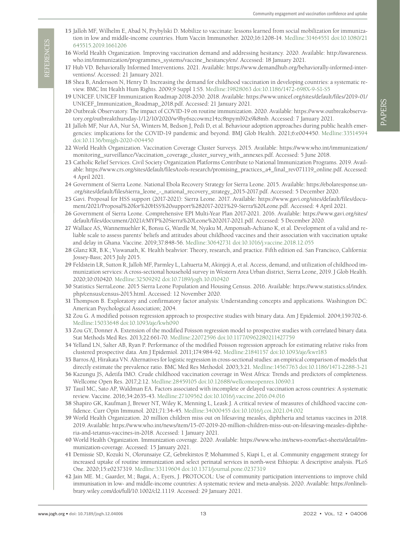- <span id="page-12-0"></span>15 Jalloh MF, Wilhelm E, Abad N, Prybylski D. Mobilize to vaccinate: lessons learned from social mobilization for immunization in low and middle-income countries. Hum Vaccin Immunother. 2020;16:1208-14. [Medline:31464551](https://www.ncbi.nlm.nih.gov/entrez/query.fcgi?cmd=Retrieve&db=PubMed&list_uids=31464551&dopt=Abstract) [doi:10.1080/21](https://doi.org/10.1080/21645515.2019.1661206) [645515.2019.1661206](https://doi.org/10.1080/21645515.2019.1661206)
- <span id="page-12-1"></span>16 World Health Organization. Improving vaccination demand and addressing hesitancy. 2020. Available: [http://awareness.](http://awareness.who.int/immunization/programmes_systems/vaccine_hesitancy/en/) [who.int/immunization/programmes\\_systems/vaccine\\_hesitancy/en/](http://awareness.who.int/immunization/programmes_systems/vaccine_hesitancy/en/). Accessed: 18 January 2021.
- <span id="page-12-2"></span>17 Hub VD. Behaviorally Informed Interventions. 2021. Available: [https://www.demandhub.org/behaviorally-informed-inter](https://www.demandhub.org/behaviorally-informed-interventions/)[ventions/.](https://www.demandhub.org/behaviorally-informed-interventions/) Accessed: 21 January 2021.
- <span id="page-12-3"></span>18 Shea B, Andersson N, Henry D. Increasing the demand for childhood vaccination in developing countries: a systematic review. BMC Int Health Hum Rights. 2009;9 Suppl 1:S5. [Medline:19828063](https://www.ncbi.nlm.nih.gov/entrez/query.fcgi?cmd=Retrieve&db=PubMed&list_uids=19828063&dopt=Abstract) [doi:10.1186/1472-698X-9-S1-S5](https://doi.org/10.1186/1472-698X-9-S1-S5)
- <span id="page-12-4"></span>19 UNICEF. UNICEF Immunization Roadmap 2018-2030. 2018. Available: [https://www.unicef.org/sites/default/files/2019-01/](https://www.unicef.org/sites/default/files/2019-01/UNICEF_Immunization_Roadmap_2018.pdf) [UNICEF\\_Immunization\\_Roadmap\\_2018.pdf](https://www.unicef.org/sites/default/files/2019-01/UNICEF_Immunization_Roadmap_2018.pdf). Accessed: 21 January 2021.
- <span id="page-12-5"></span>20 Outbreak Observatory. The impact of COVID-19 on routine immunization. 2020. Available: [https://www.outbreakobserva](https://www.outbreakobservatory.org/outbreakthursday-1/12/10/2020/w9hy6szcowmz14zc8npyml92x9k8mb)[tory.org/outbreakthursday-1/12/10/2020/w9hy6szcowmz14zc8npyml92x9k8mb](https://www.outbreakobservatory.org/outbreakthursday-1/12/10/2020/w9hy6szcowmz14zc8npyml92x9k8mb). Accessed: 7 January 2021.
- <span id="page-12-6"></span>21 Jalloh MF, Nur AA, Nur SA, Winters M, Bedson J, Pedi D, et al. Behaviour adoption approaches during public health emergencies: implications for the COVID-19 pandemic and beyond. BMJ Glob Health. 2021;6:e004450. [Medline:33514594](https://www.ncbi.nlm.nih.gov/entrez/query.fcgi?cmd=Retrieve&db=PubMed&list_uids=33514594&dopt=Abstract) [doi:10.1136/bmjgh-2020-004450](https://doi.org/10.1136/bmjgh-2020-004450)
- <span id="page-12-7"></span>22 World Health Organization. Vaccination Coverage Cluster Surveys. 2015. Available: [https://www.who.int/immunization/](https://www.who.int/immunization/monitoring_surveillance/Vaccination_coverage_cluster_survey_with_annexes.pdf) [monitoring\\_surveillance/Vaccination\\_coverage\\_cluster\\_survey\\_with\\_annexes.pdf](https://www.who.int/immunization/monitoring_surveillance/Vaccination_coverage_cluster_survey_with_annexes.pdf). Accessed: 5 June 2018.
- <span id="page-12-8"></span>23 Catholic Relief Services. Civil Society Organization Platforms Contribute to National Immunization Programs. 2019. Available: [https://www.crs.org/sites/default/files/tools-research/promising\\_practices\\_a4\\_final\\_rev071119\\_online.pdf.](https://www.crs.org/sites/default/files/tools-research/promising_practices_a4_final_rev071119_online.pdf) Accessed: 4 April 2021.
- <span id="page-12-9"></span>24 Government of Sierra Leone. National Ebola Recovery Strategy for Sierra Leone. 2015. Available: [https://ebolaresponse.un-](https://ebolaresponse.un.org/sites/default/files/sierra_leone_-_national_recovery_strategy_2015-2017.pdf) [.org/sites/default/files/sierra\\_leone\\_-\\_national\\_recovery\\_strategy\\_2015-2017.pdf](https://ebolaresponse.un.org/sites/default/files/sierra_leone_-_national_recovery_strategy_2015-2017.pdf). Accessed: 5 December 2020.
- <span id="page-12-10"></span>25 Gavi. Proposal for HSS support (2017-2021): Sierra Leone. 2017. Available: [https://www.gavi.org/sites/default/files/docu](https://www.gavi.org/sites/default/files/document/2021/Proposal%20for%20HSS%20support%282017-2021%29-Sierra%20Leone.pdf)[ment/2021/Proposal%20for%20HSS%20support%282017-2021%29-Sierra%20Leone.pdf.](https://www.gavi.org/sites/default/files/document/2021/Proposal%20for%20HSS%20support%282017-2021%29-Sierra%20Leone.pdf) Accessed: 4 April 2021.
- <span id="page-12-11"></span>26 Government of Sierra Leone. Comprehensive EPI Multi-Year Plan 2017-2021. 2016. Available: [https://www.gavi.org/sites/](https://www.gavi.org/sites/default/files/document/2021/cMYP%20Sierra%20Leone%202017-2021.pdf) [default/files/document/2021/cMYP%20Sierra%20Leone%202017-2021.pdf.](https://www.gavi.org/sites/default/files/document/2021/cMYP%20Sierra%20Leone%202017-2021.pdf) Accessed: 5 December 2020.
- <span id="page-12-12"></span>27 Wallace AS, Wannemuehler K, Bonsu G, Wardle M, Nyaku M, Amponsah-Achiano K, et al. Development of a valid and reliable scale to assess parents' beliefs and attitudes about childhood vaccines and their association with vaccination uptake and delay in Ghana. Vaccine. 2019;37:848-56. [Medline:30642731](https://www.ncbi.nlm.nih.gov/entrez/query.fcgi?cmd=Retrieve&db=PubMed&list_uids=30642731&dopt=Abstract) [doi:10.1016/j.vaccine.2018.12.055](https://doi.org/10.1016/j.vaccine.2018.12.055)
- <span id="page-12-13"></span>28 Glanz KR, B.K.; Viswanath, K. Health beahvior: Theory, research, and practice. Fifth edition ed. San Francisco, California: Jossey-Bass; 2015 July 2015.
- <span id="page-12-14"></span>29 Feldstein LR, Sutton R, Jalloh MF, Parmley L, Lahuerta M, Akinjeji A, et al. Access, demand, and utilization of childhood immunization services: A cross-sectional household survey in Western Area Urban district, Sierra Leone, 2019. J Glob Health. 2020;10:010420. [Medline:32509292](https://www.ncbi.nlm.nih.gov/entrez/query.fcgi?cmd=Retrieve&db=PubMed&list_uids=32509292&dopt=Abstract) [doi:10.7189/jogh.10.010420](https://doi.org/10.7189/jogh.10.010420)
- <span id="page-12-15"></span>30 Statistics SierraLeone. 2015 Sierra Leone Population and Housing Census. 2016. Available: [https://www.statistics.sl/index.](https://www.statistics.sl/index.php/census/census-2015.html) [php/census/census-2015.html](https://www.statistics.sl/index.php/census/census-2015.html). Accessed: 12 November 2020.
- <span id="page-12-16"></span>31 Thompson B. Exploratory and confirmatory factor analysis: Understanding concepts and applications. Washington DC: American Psychological Association; 2004.
- <span id="page-12-17"></span>32 Zou G. A modified poisson regression approach to prospective studies with binary data. Am J Epidemiol. 2004;159:702-6. [Medline:15033648](https://www.ncbi.nlm.nih.gov/entrez/query.fcgi?cmd=Retrieve&db=PubMed&list_uids=15033648&dopt=Abstract) [doi:10.1093/aje/kwh090](https://doi.org/10.1093/aje/kwh090)
- <span id="page-12-18"></span>33 Zou GY, Donner A. Extension of the modified Poisson regression model to prospective studies with correlated binary data. Stat Methods Med Res. 2013;22:661-70. [Medline:22072596](https://www.ncbi.nlm.nih.gov/entrez/query.fcgi?cmd=Retrieve&db=PubMed&list_uids=22072596&dopt=Abstract) [doi:10.1177/0962280211427759](https://doi.org/10.1177/0962280211427759)
- <span id="page-12-19"></span>34 Yelland LN, Salter AB, Ryan P. Performance of the modified Poisson regression approach for estimating relative risks from clustered prospective data. Am J Epidemiol. 2011;174:984-92. [Medline:21841157](https://www.ncbi.nlm.nih.gov/entrez/query.fcgi?cmd=Retrieve&db=PubMed&list_uids=21841157&dopt=Abstract) [doi:10.1093/aje/kwr183](https://doi.org/10.1093/aje/kwr183)
- <span id="page-12-20"></span>35 Barros AJ, Hirakata VN. Alternatives for logistic regression in cross-sectional studies: an empirical comparison of models that directly estimate the prevalence ratio. BMC Med Res Methodol. 2003;3:21. [Medline:14567763](https://www.ncbi.nlm.nih.gov/entrez/query.fcgi?cmd=Retrieve&db=PubMed&list_uids=14567763&dopt=Abstract) [doi:10.1186/1471-2288-3-21](https://doi.org/10.1186/1471-2288-3-21)
- <span id="page-12-21"></span>36 Kazungu JS, Adetifa IMO. Crude childhood vaccination coverage in West Africa: Trends and predictors of completeness. Wellcome Open Res. 2017;2:12. [Medline:28459105](https://www.ncbi.nlm.nih.gov/entrez/query.fcgi?cmd=Retrieve&db=PubMed&list_uids=28459105&dopt=Abstract) [doi:10.12688/wellcomeopenres.10690.1](https://doi.org/10.12688/wellcomeopenres.10690.1)
- <span id="page-12-22"></span>37 Tauil MC, Sato AP, Waldman EA. Factors associated with incomplete or delayed vaccination across countries: A systematic review. Vaccine. 2016;34:2635-43. [Medline:27109562](https://www.ncbi.nlm.nih.gov/entrez/query.fcgi?cmd=Retrieve&db=PubMed&list_uids=27109562&dopt=Abstract) [doi:10.1016/j.vaccine.2016.04.016](https://doi.org/10.1016/j.vaccine.2016.04.016)
- <span id="page-12-23"></span>38 Shapiro GK, Kaufman J, Brewer NT, Wiley K, Menning L, Leask J. A critical review of measures of childhood vaccine confidence. Curr Opin Immunol. 2021;71:34-45. [Medline:34000455](https://www.ncbi.nlm.nih.gov/entrez/query.fcgi?cmd=Retrieve&db=PubMed&list_uids=34000455&dopt=Abstract) [doi:10.1016/j.coi.2021.04.002](https://doi.org/10.1016/j.coi.2021.04.002)
- <span id="page-12-24"></span>39 World Health Organization. 20 million children miss out on lifesaving measles, diphtheria and tetanus vaccines in 2018. 2019. Available: [https://www.who.int/news/item/15-07-2019-20-million-children-miss-out-on-lifesaving-measles-diphthe](https://www.who.int/news/item/15-07-2019-20-million-children-miss-out-on-lifesaving-measles-diphtheria-and-tetanus-vaccines-in-2018)[ria-and-tetanus-vaccines-in-2018.](https://www.who.int/news/item/15-07-2019-20-million-children-miss-out-on-lifesaving-measles-diphtheria-and-tetanus-vaccines-in-2018) Accessed: 1 January 2021.
- <span id="page-12-25"></span>40 World Health Organization. Immunization coverage. 2020. Available: [https://www.who.int/news-room/fact-sheets/detail/im](https://www.who.int/news-room/fact-sheets/detail/immunization-coverage)[munization-coverage.](https://www.who.int/news-room/fact-sheets/detail/immunization-coverage) Accessed: 15 January 2021.
- <span id="page-12-26"></span>41 Demissie SD, Kozuki N, Olorunsaiye CZ, Gebrekirstos P, Mohammed S, Kiapi L, et al. Community engagement strategy for increased uptake of routine immunization and select perinatal services in north-west Ethiopia: A descriptive analysis. PLoS One. 2020;15:e0237319. [Medline:33119604](https://www.ncbi.nlm.nih.gov/entrez/query.fcgi?cmd=Retrieve&db=PubMed&list_uids=33119604&dopt=Abstract) [doi:10.1371/journal.pone.0237319](https://doi.org/10.1371/journal.pone.0237319)
- 42 Jain ME. M.; Gaarder, M.; Bagai, A.; Eyers, J. PROTOCOL: Use of community participation interventions to improve child immunisation in low- and middle-income countries: A systematic review and meta-analysis. 2020. Available: [https://onlineli](https://onlinelibrary.wiley.com/doi/full/10.1002/cl2.1119)[brary.wiley.com/doi/full/10.1002/cl2.1119](https://onlinelibrary.wiley.com/doi/full/10.1002/cl2.1119). Accessed: 29 January 2021.